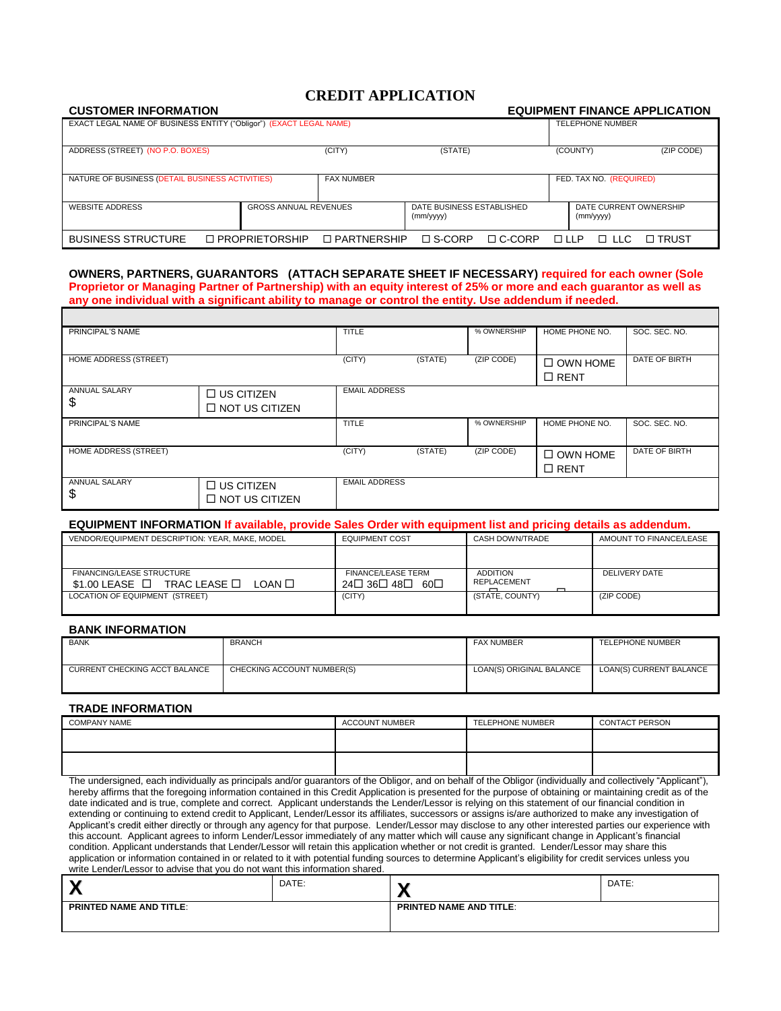# **CREDIT APPLICATION**

| <b>CUSTOMER INFORMATION</b>                                        |                              |                    |                           |               |               |                         | <b>EQUIPMENT FINANCE APPLICATION</b> |
|--------------------------------------------------------------------|------------------------------|--------------------|---------------------------|---------------|---------------|-------------------------|--------------------------------------|
| EXACT LEGAL NAME OF BUSINESS ENTITY ("Obligor") (EXACT LEGAL NAME) |                              |                    |                           |               |               | <b>TELEPHONE NUMBER</b> |                                      |
|                                                                    |                              |                    |                           |               |               |                         |                                      |
| ADDRESS (STREET) (NO P.O. BOXES)                                   |                              | (CITY)             | (STATE)                   |               | (COUNTY)      |                         | (ZIP CODE)                           |
|                                                                    |                              |                    |                           |               |               |                         |                                      |
| NATURE OF BUSINESS (DETAIL BUSINESS ACTIVITIES)                    |                              | <b>FAX NUMBER</b>  |                           |               |               | FED. TAX NO. (REQUIRED) |                                      |
|                                                                    |                              |                    |                           |               |               |                         |                                      |
| <b>WEBSITE ADDRESS</b>                                             | <b>GROSS ANNUAL REVENUES</b> |                    | DATE BUSINESS ESTABLISHED |               |               | DATE CURRENT OWNERSHIP  |                                      |
|                                                                    |                              |                    | (mm/yyyy)                 |               |               | (mm/yyyy)               |                                      |
| <b>BUSINESS STRUCTURE</b>                                          | $\Box$ PROPRIETORSHIP        | $\Box$ PARTNERSHIP | $\square$ S-CORP          | $\Box$ C-CORP | $\Box \Box P$ | $\Box$ IIC.             | □ TRUST                              |

### **OWNERS, PARTNERS, GUARANTORS (ATTACH SEPARATE SHEET IF NECESSARY) required for each owner (Sole Proprietor or Managing Partner of Partnership) with an equity interest of 25% or more and each guarantor as well as any one individual with a significant ability to manage or control the entity. Use addendum if needed.**

| PRINCIPAL'S NAME           |                                            | <b>TITLE</b>         |         | % OWNERSHIP | HOME PHONE NO.                 | SOC. SEC. NO. |
|----------------------------|--------------------------------------------|----------------------|---------|-------------|--------------------------------|---------------|
| HOME ADDRESS (STREET)      |                                            | (CITY)               | (STATE) | (ZIP CODE)  | $\Box$ OWN HOME<br>$\Box$ RENT | DATE OF BIRTH |
| <b>ANNUAL SALARY</b>       | $\Box$ US CITIZEN                          | <b>EMAIL ADDRESS</b> |         |             |                                |               |
| \$                         | $\Box$ NOT US CITIZEN                      |                      |         |             |                                |               |
| PRINCIPAL'S NAME           |                                            | <b>TITLE</b>         |         | % OWNERSHIP | HOME PHONE NO.                 | SOC. SEC. NO. |
| HOME ADDRESS (STREET)      |                                            | (CITY)               | (STATE) | (ZIP CODE)  | $\Box$ OWN HOME<br>$\Box$ RENT | DATE OF BIRTH |
| <b>ANNUAL SALARY</b><br>\$ | $\Box$ US CITIZEN<br>$\Box$ NOT US CITIZEN | <b>EMAIL ADDRESS</b> |         |             |                                |               |

#### **EQUIPMENT INFORMATION If available, provide Sales Order with equipment list and pricing details as addendum.**

| VENDOR/EQUIPMENT DESCRIPTION: YEAR, MAKE, MODEL             | <b>EQUIPMENT COST</b>     | CASH DOWN/TRADE                         | AMOUNT TO FINANCE/LEASE |
|-------------------------------------------------------------|---------------------------|-----------------------------------------|-------------------------|
|                                                             |                           |                                         |                         |
|                                                             |                           |                                         |                         |
| FINANCING/LEASE STRUCTURE                                   | <b>FINANCE/LEASE TERM</b> | <b>ADDITION</b>                         | DELIVERY DATE           |
| $$1.00$ LEASE $\square$ TRAC LEASE $\square$<br>LOAN $\Box$ | 24□ 36□ 48□<br>െ⊓         | REPLACEMENT<br>$\overline{\phantom{0}}$ |                         |
| LOCATION OF EQUIPMENT (STREET)                              | (CITY)                    | (STATE, COUNTY)                         | (ZIP CODE)              |
|                                                             |                           |                                         |                         |

#### **BANK INFORMATION**

| <b>BANK</b>                   | <b>BRANCH</b>              | <b>FAX NUMBER</b>        | <b>TELEPHONE NUMBER</b> |
|-------------------------------|----------------------------|--------------------------|-------------------------|
|                               |                            |                          |                         |
| CURRENT CHECKING ACCT BALANCE | CHECKING ACCOUNT NUMBER(S) | LOAN(S) ORIGINAL BALANCE | LOAN(S) CURRENT BALANCE |
|                               |                            |                          |                         |

### **TRADE INFORMATION**

| <b>COMPANY NAME</b>                                                                                                                                                              | <b>ACCOUNT NUMBER</b> | <b>TELEPHONE NUMBER</b> | <b>CONTACT PERSON</b> |
|----------------------------------------------------------------------------------------------------------------------------------------------------------------------------------|-----------------------|-------------------------|-----------------------|
|                                                                                                                                                                                  |                       |                         |                       |
|                                                                                                                                                                                  |                       |                         |                       |
|                                                                                                                                                                                  |                       |                         |                       |
|                                                                                                                                                                                  |                       |                         |                       |
| The undersigned, each individually as principals and/or quarantors of the Obligor, and on behalf of the Obligor (individually and collectively "Applicant"),                     |                       |                         |                       |
| hereby affirms that the foregoing information contained in this Credit Application is presented for the purpose of obtaining or maintaining credit as of the                     |                       |                         |                       |
| date indicated and is true, complete and correct. Applicant understands the Lender/Lessor is relying on this statement of our financial condition in                             |                       |                         |                       |
| extending are principle to make a property of the attention of the offlicted successors are experies in a secience is a surfaction of property and the make any investigation of |                       |                         |                       |

r continuing to extend credit to Applicant, Lender/Lessor its affiliates, successors or assigns is/are authorized to make any investigation o Applicant's credit either directly or through any agency for that purpose. Lender/Lessor may disclose to any other interested parties our experience with this account. Applicant agrees to inform Lender/Lessor immediately of any matter which will cause any significant change in Applicant's financial condition. Applicant understands that Lender/Lessor will retain this application whether or not credit is granted. Lender/Lessor may share this application or information contained in or related to it with potential funding sources to determine Applicant's eligibility for credit services unless you write Lender/Lessor to advise that you do not want this information shared.

|                                | DATE: | --                             | DATE: |
|--------------------------------|-------|--------------------------------|-------|
| <b>PRINTED NAME AND TITLE:</b> |       | <b>PRINTED NAME AND TITLE:</b> |       |